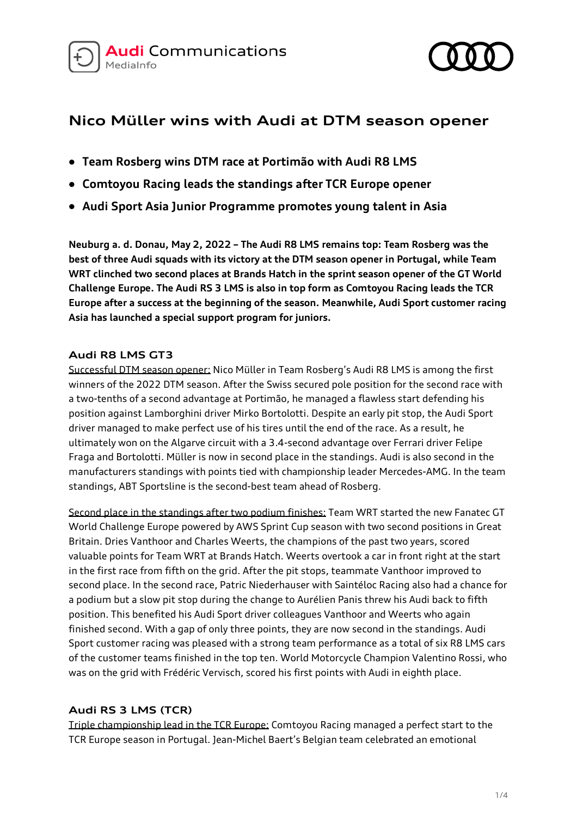



# **Nico Müller wins with Audi at DTM season opener**

- **Team Rosberg wins DTM race at Portimão with Audi R8 LMS**
- **Comtoyou Racing leads the standings after TCR Europe opener**
- **Audi Sport Asia Junior Programme promotes young talent in Asia**

**Neuburg a. d. Donau, May 2, 2022 – The Audi R8 LMS remains top: Team Rosberg was the best of three Audi squads with its victory at the DTM season opener in Portugal, while Team WRT clinched two second places at Brands Hatch in the sprint season opener of the GT World Challenge Europe. The Audi RS 3 LMS is also in top form as Comtoyou Racing leads the TCR Europe after a success at the beginning of the season. Meanwhile, Audi Sport customer racing Asia has launched a special support program for juniors.**

## **Audi R8 LMS GT3**

Successful DTM season opener: Nico Müller in Team Rosberg's Audi R8 LMS is among the first winners of the 2022 DTM season. After the Swiss secured pole position for the second race with a two-tenths of a second advantage at Portimão, he managed a flawless start defending his position against Lamborghini driver Mirko Bortolotti. Despite an early pit stop, the Audi Sport driver managed to make perfect use of his tires until the end of the race. As a result, he ultimately won on the Algarve circuit with a 3.4-second advantage over Ferrari driver Felipe Fraga and Bortolotti. Müller is now in second place in the standings. Audi is also second in the manufacturers standings with points tied with championship leader Mercedes-AMG. In the team standings, ABT Sportsline is the second-best team ahead of Rosberg.

Second place in the standings after two podium finishes: Team WRT started the new Fanatec GT World Challenge Europe powered by AWS Sprint Cup season with two second positions in Great Britain. Dries Vanthoor and Charles Weerts, the champions of the past two years, scored valuable points for Team WRT at Brands Hatch. Weerts overtook a car in front right at the start in the first race from fifth on the grid. After the pit stops, teammate Vanthoor improved to second place. In the second race, Patric Niederhauser with Saintéloc Racing also had a chance for a podium but a slow pit stop during the change to Aurélien Panis threw his Audi back to fifth position. This benefited his Audi Sport driver colleagues Vanthoor and Weerts who again finished second. With a gap of only three points, they are now second in the standings. Audi Sport customer racing was pleased with a strong team performance as a total of six R8 LMS cars of the customer teams finished in the top ten. World Motorcycle Champion Valentino Rossi, who was on the grid with Frédéric Vervisch, scored his first points with Audi in eighth place.

## **Audi RS 3 LMS (TCR)**

Triple championship lead in the TCR Europe: Comtoyou Racing managed a perfect start to the TCR Europe season in Portugal. Jean-Michel Baert's Belgian team celebrated an emotional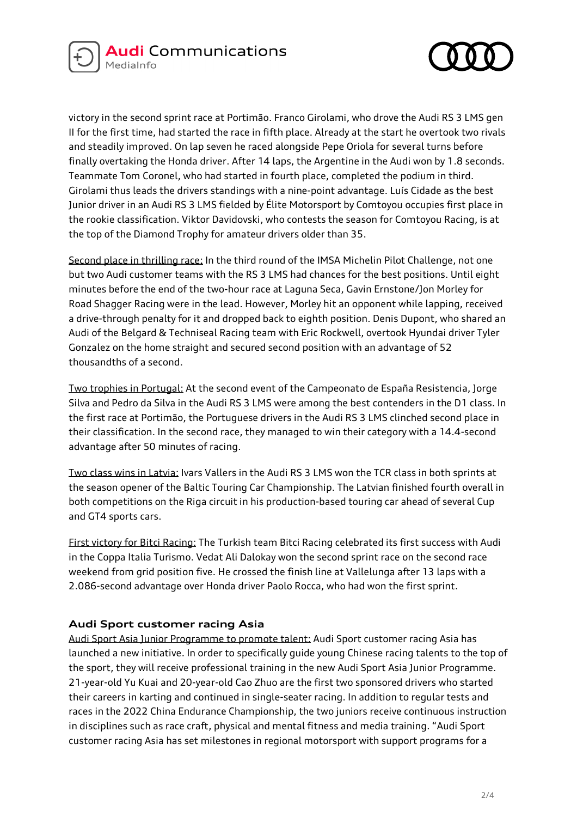



victory in the second sprint race at Portimão. Franco Girolami, who drove the Audi RS 3 LMS gen II for the first time, had started the race in fifth place. Already at the start he overtook two rivals and steadily improved. On lap seven he raced alongside Pepe Oriola for several turns before finally overtaking the Honda driver. After 14 laps, the Argentine in the Audi won by 1.8 seconds. Teammate Tom Coronel, who had started in fourth place, completed the podium in third. Girolami thus leads the drivers standings with a nine-point advantage. Luís Cidade as the best Junior driver in an Audi RS 3 LMS fielded by Élite Motorsport by Comtoyou occupies first place in the rookie classification. Viktor Davidovski, who contests the season for Comtoyou Racing, is at the top of the Diamond Trophy for amateur drivers older than 35.

Second place in thrilling race: In the third round of the IMSA Michelin Pilot Challenge, not one but two Audi customer teams with the RS 3 LMS had chances for the best positions. Until eight minutes before the end of the two-hour race at Laguna Seca, Gavin Ernstone/Jon Morley for Road Shagger Racing were in the lead. However, Morley hit an opponent while lapping, received a drive-through penalty for it and dropped back to eighth position. Denis Dupont, who shared an Audi of the Belgard & Techniseal Racing team with Eric Rockwell, overtook Hyundai driver Tyler Gonzalez on the home straight and secured second position with an advantage of 52 thousandths of a second.

Two trophies in Portugal: At the second event of the Campeonato de España Resistencia, Jorge Silva and Pedro da Silva in the Audi RS 3 LMS were among the best contenders in the D1 class. In the first race at Portimão, the Portuguese drivers in the Audi RS 3 LMS clinched second place in their classification. In the second race, they managed to win their category with a 14.4-second advantage after 50 minutes of racing.

Two class wins in Latvia: Ivars Vallers in the Audi RS 3 LMS won the TCR class in both sprints at the season opener of the Baltic Touring Car Championship. The Latvian finished fourth overall in both competitions on the Riga circuit in his production-based touring car ahead of several Cup and GT4 sports cars.

First victory for Bitci Racing: The Turkish team Bitci Racing celebrated its first success with Audi in the Coppa Italia Turismo. Vedat Ali Dalokay won the second sprint race on the second race weekend from grid position five. He crossed the finish line at Vallelunga after 13 laps with a 2.086-second advantage over Honda driver Paolo Rocca, who had won the first sprint.

#### **Audi Sport customer racing Asia**

Audi Sport Asia Junior Programme to promote talent: Audi Sport customer racing Asia has launched a new initiative. In order to specifically guide young Chinese racing talents to the top of the sport, they will receive professional training in the new Audi Sport Asia Junior Programme. 21-year-old Yu Kuai and 20-year-old Cao Zhuo are the first two sponsored drivers who started their careers in karting and continued in single-seater racing. In addition to regular tests and races in the 2022 China Endurance Championship, the two juniors receive continuous instruction in disciplines such as race craft, physical and mental fitness and media training. "Audi Sport customer racing Asia has set milestones in regional motorsport with support programs for a